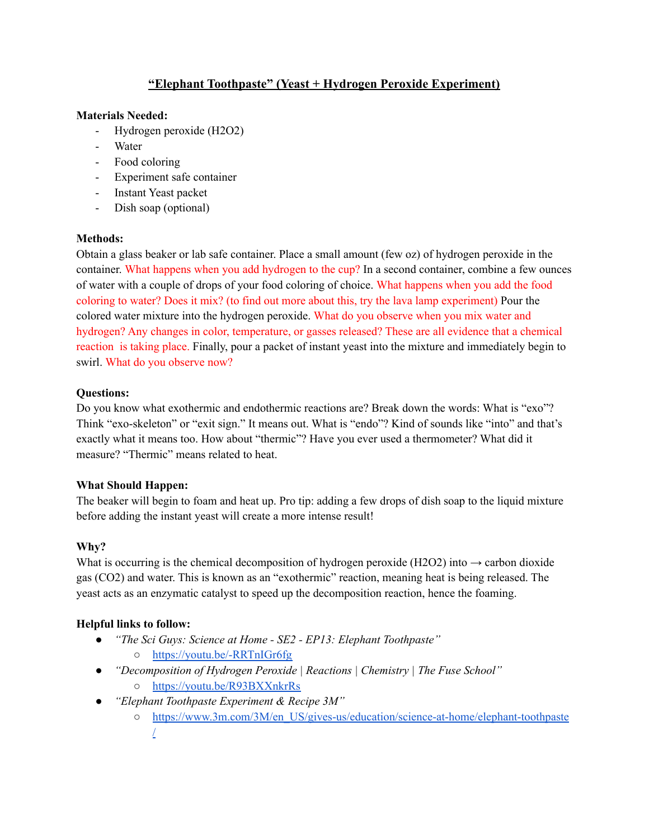# **"Elephant Toothpaste" (Yeast + Hydrogen Peroxide Experiment)**

# **Materials Needed:**

- Hydrogen peroxide (H2O2)
- Water
- Food coloring
- Experiment safe container
- Instant Yeast packet
- Dish soap (optional)

# **Methods:**

Obtain a glass beaker or lab safe container. Place a small amount (few oz) of hydrogen peroxide in the container. What happens when you add hydrogen to the cup? In a second container, combine a few ounces of water with a couple of drops of your food coloring of choice. What happens when you add the food coloring to water? Does it mix? (to find out more about this, try the lava lamp experiment) Pour the colored water mixture into the hydrogen peroxide. What do you observe when you mix water and hydrogen? Any changes in color, temperature, or gasses released? These are all evidence that a chemical reaction is taking place. Finally, pour a packet of instant yeast into the mixture and immediately begin to swirl. What do you observe now?

# **Questions:**

Do you know what exothermic and endothermic reactions are? Break down the words: What is "exo"? Think "exo-skeleton" or "exit sign." It means out. What is "endo"? Kind of sounds like "into" and that's exactly what it means too. How about "thermic"? Have you ever used a thermometer? What did it measure? "Thermic" means related to heat.

# **What Should Happen:**

The beaker will begin to foam and heat up. Pro tip: adding a few drops of dish soap to the liquid mixture before adding the instant yeast will create a more intense result!

# **Why?**

What is occurring is the chemical decomposition of hydrogen peroxide (H2O2) into  $\rightarrow$  carbon dioxide gas (CO2) and water. This is known as an "exothermic" reaction, meaning heat is being released. The yeast acts as an enzymatic catalyst to speed up the decomposition reaction, hence the foaming.

- *● "The Sci Guys: Science at Home - SE2 - EP13: Elephant Toothpaste"*
	- <https://youtu.be/-RRTnIGr6fg>
- *● "Decomposition of Hydrogen Peroxide | Reactions | Chemistry | The Fuse School"*
	- <https://youtu.be/R93BXXnkrRs>
- *● "Elephant Toothpaste Experiment & Recipe 3M"*
	- o [https://www.3m.com/3M/en\\_US/gives-us/education/science-at-home/elephant-toothpaste](https://www.3m.com/3M/en_US/gives-us/education/science-at-home/elephant-toothpaste/) [/](https://www.3m.com/3M/en_US/gives-us/education/science-at-home/elephant-toothpaste/)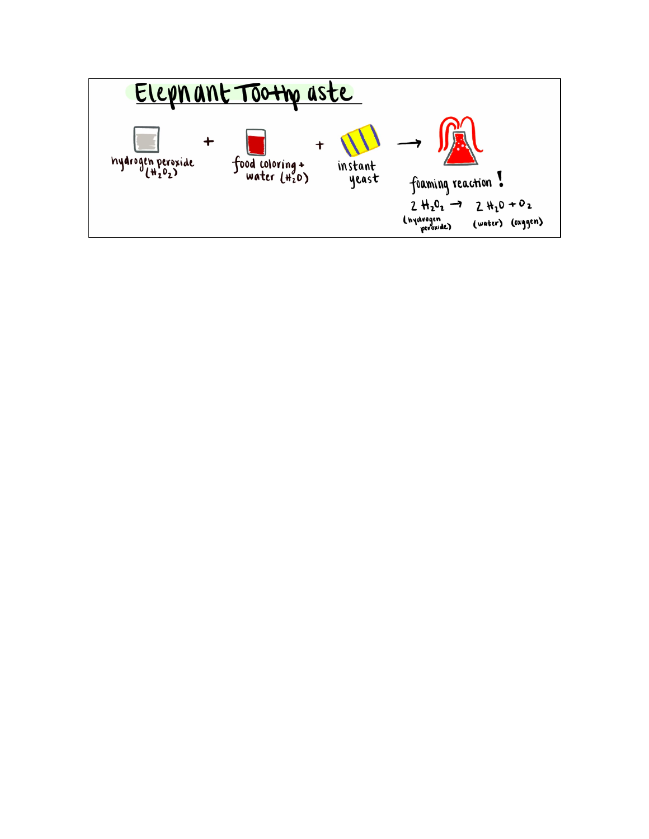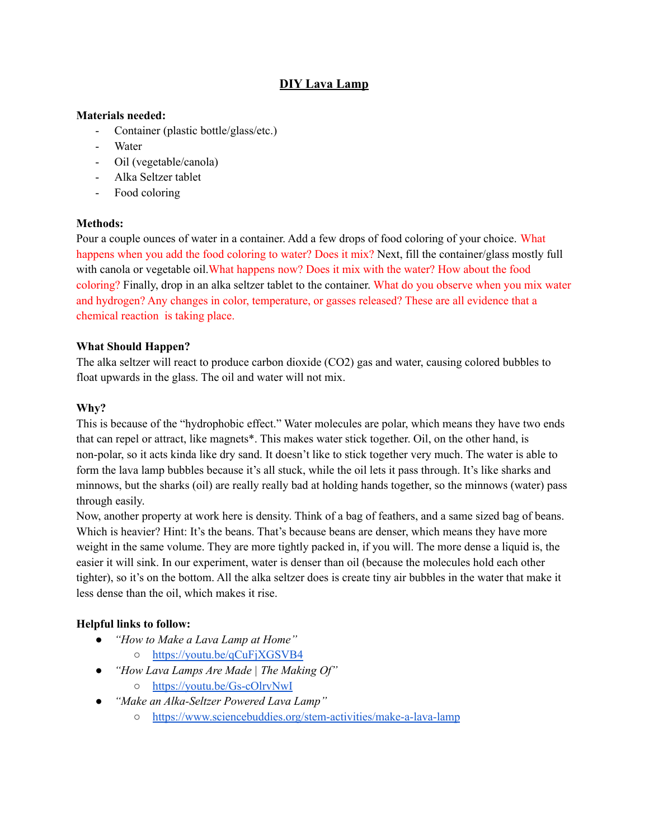# **DIY Lava Lamp**

#### **Materials needed:**

- Container (plastic bottle/glass/etc.)
- Water
- Oil (vegetable/canola)
- Alka Seltzer tablet
- Food coloring

### **Methods:**

Pour a couple ounces of water in a container. Add a few drops of food coloring of your choice. What happens when you add the food coloring to water? Does it mix? Next, fill the container/glass mostly full with canola or vegetable oil.What happens now? Does it mix with the water? How about the food coloring? Finally, drop in an alka seltzer tablet to the container. What do you observe when you mix water and hydrogen? Any changes in color, temperature, or gasses released? These are all evidence that a chemical reaction is taking place.

#### **What Should Happen?**

The alka seltzer will react to produce carbon dioxide (CO2) gas and water, causing colored bubbles to float upwards in the glass. The oil and water will not mix.

### **Why?**

This is because of the "hydrophobic effect." Water molecules are polar, which means they have two ends that can repel or attract, like magnets\*. This makes water stick together. Oil, on the other hand, is non-polar, so it acts kinda like dry sand. It doesn't like to stick together very much. The water is able to form the lava lamp bubbles because it's all stuck, while the oil lets it pass through. It's like sharks and minnows, but the sharks (oil) are really really bad at holding hands together, so the minnows (water) pass through easily.

Now, another property at work here is density. Think of a bag of feathers, and a same sized bag of beans. Which is heavier? Hint: It's the beans. That's because beans are denser, which means they have more weight in the same volume. They are more tightly packed in, if you will. The more dense a liquid is, the easier it will sink. In our experiment, water is denser than oil (because the molecules hold each other tighter), so it's on the bottom. All the alka seltzer does is create tiny air bubbles in the water that make it less dense than the oil, which makes it rise.

- *● "How to Make a Lava Lamp at Home"*
	- <https://youtu.be/qCuFjXGSVB4>
- *● "How Lava Lamps Are Made | The Making Of"*
	- <https://youtu.be/Gs-cOlrvNwI>
- *● "Make an Alka-Seltzer Powered Lava Lamp"*
	- <https://www.sciencebuddies.org/stem-activities/make-a-lava-lamp>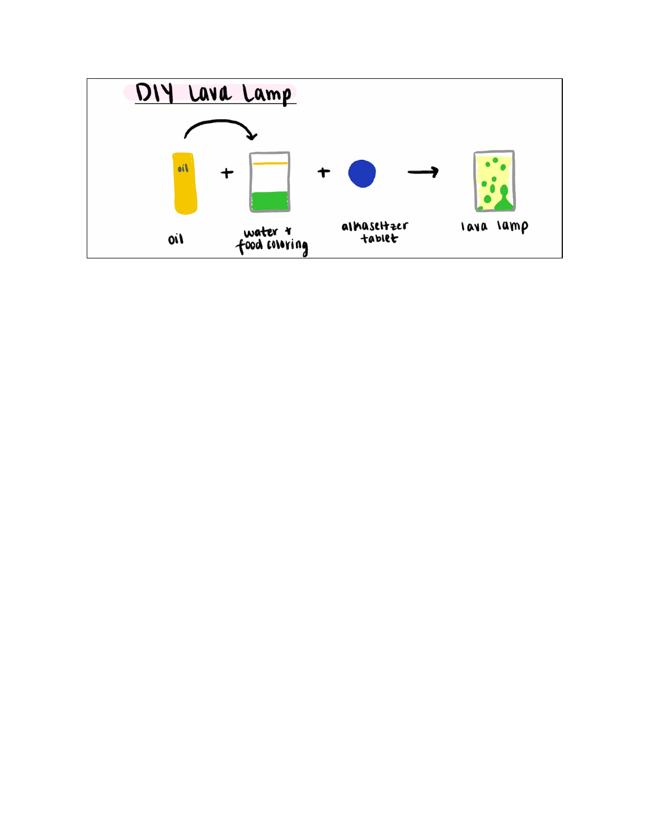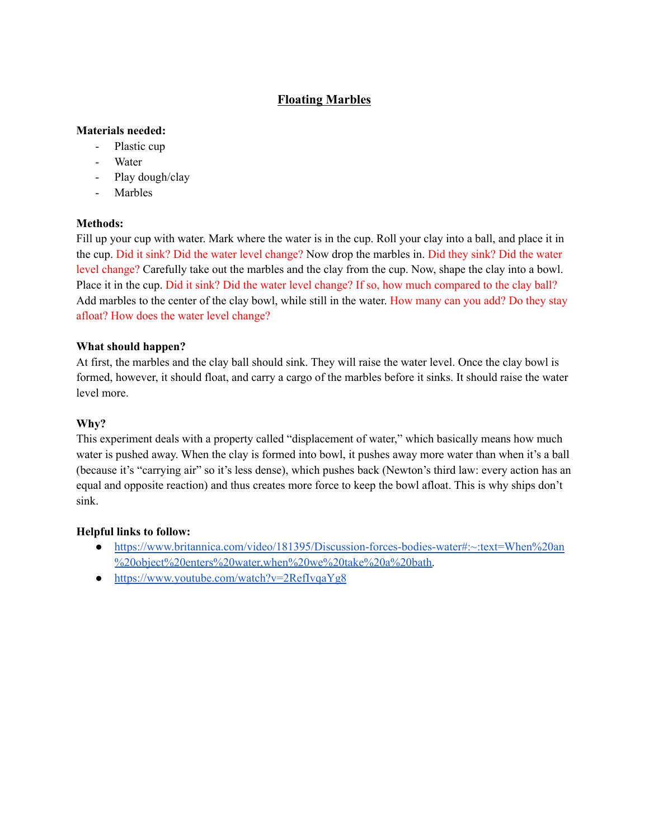# **Floating Marbles**

### **Materials needed:**

- Plastic cup
- Water
- Play dough/clay
- Marbles

# **Methods:**

Fill up your cup with water. Mark where the water is in the cup. Roll your clay into a ball, and place it in the cup. Did it sink? Did the water level change? Now drop the marbles in. Did they sink? Did the water level change? Carefully take out the marbles and the clay from the cup. Now, shape the clay into a bowl. Place it in the cup. Did it sink? Did the water level change? If so, how much compared to the clay ball? Add marbles to the center of the clay bowl, while still in the water. How many can you add? Do they stay afloat? How does the water level change?

### **What should happen?**

At first, the marbles and the clay ball should sink. They will raise the water level. Once the clay bowl is formed, however, it should float, and carry a cargo of the marbles before it sinks. It should raise the water level more.

# **Why?**

This experiment deals with a property called "displacement of water," which basically means how much water is pushed away. When the clay is formed into bowl, it pushes away more water than when it's a ball (because it's "carrying air" so it's less dense), which pushes back (Newton's third law: every action has an equal and opposite reaction) and thus creates more force to keep the bowl afloat. This is why ships don't sink.

- [https://www.britannica.com/video/181395/Discussion-forces-bodies-water#:~:text=When%20an](https://www.britannica.com/video/181395/Discussion-forces-bodies-water#:~:text=When%20an%20object%20enters%20water,when%20we%20take%20a%20bath) [%20object%20enters%20water,when%20we%20take%20a%20bath.](https://www.britannica.com/video/181395/Discussion-forces-bodies-water#:~:text=When%20an%20object%20enters%20water,when%20we%20take%20a%20bath)
- <https://www.youtube.com/watch?v=2RefIvqaYg8>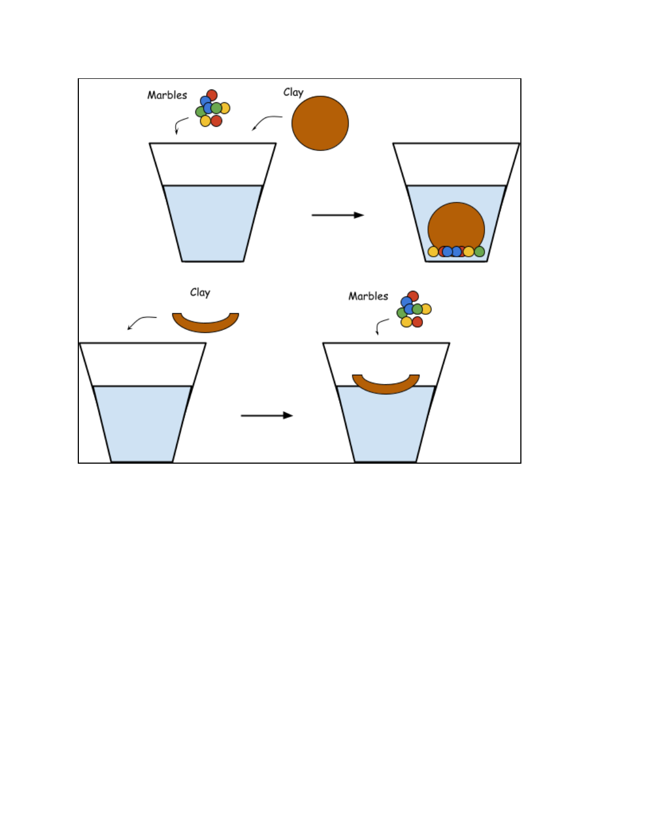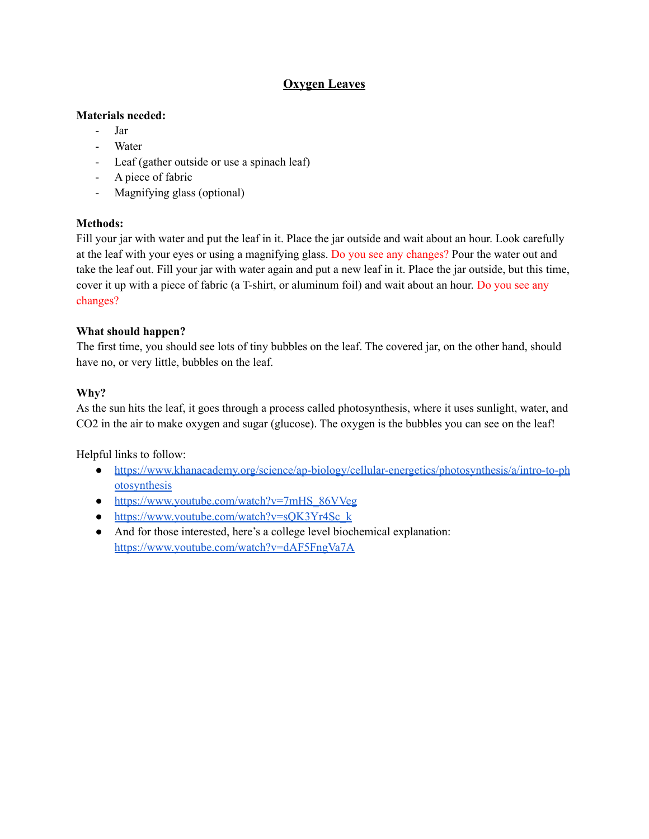# **Oxygen Leaves**

### **Materials needed:**

- Jar
- Water
- Leaf (gather outside or use a spinach leaf)
- A piece of fabric
- Magnifying glass (optional)

# **Methods:**

Fill your jar with water and put the leaf in it. Place the jar outside and wait about an hour. Look carefully at the leaf with your eyes or using a magnifying glass. Do you see any changes? Pour the water out and take the leaf out. Fill your jar with water again and put a new leaf in it. Place the jar outside, but this time, cover it up with a piece of fabric (a T-shirt, or aluminum foil) and wait about an hour. Do you see any changes?

# **What should happen?**

The first time, you should see lots of tiny bubbles on the leaf. The covered jar, on the other hand, should have no, or very little, bubbles on the leaf.

# **Why?**

As the sun hits the leaf, it goes through a process called photosynthesis, where it uses sunlight, water, and CO2 in the air to make oxygen and sugar (glucose). The oxygen is the bubbles you can see on the leaf!

- [https://www.khanacademy.org/science/ap-biology/cellular-energetics/photosynthesis/a/intro-to-ph](https://www.khanacademy.org/science/ap-biology/cellular-energetics/photosynthesis/a/intro-to-photosynthesis) [otosynthesis](https://www.khanacademy.org/science/ap-biology/cellular-energetics/photosynthesis/a/intro-to-photosynthesis)
- [https://www.youtube.com/watch?v=7mHS\\_86VVeg](https://www.youtube.com/watch?v=7mHS_86VVeg)
- https://www.youtube.com/watch?v=sQK3Yr4Sc k
- And for those interested, here's a college level biochemical explanation: <https://www.youtube.com/watch?v=dAF5FngVa7A>